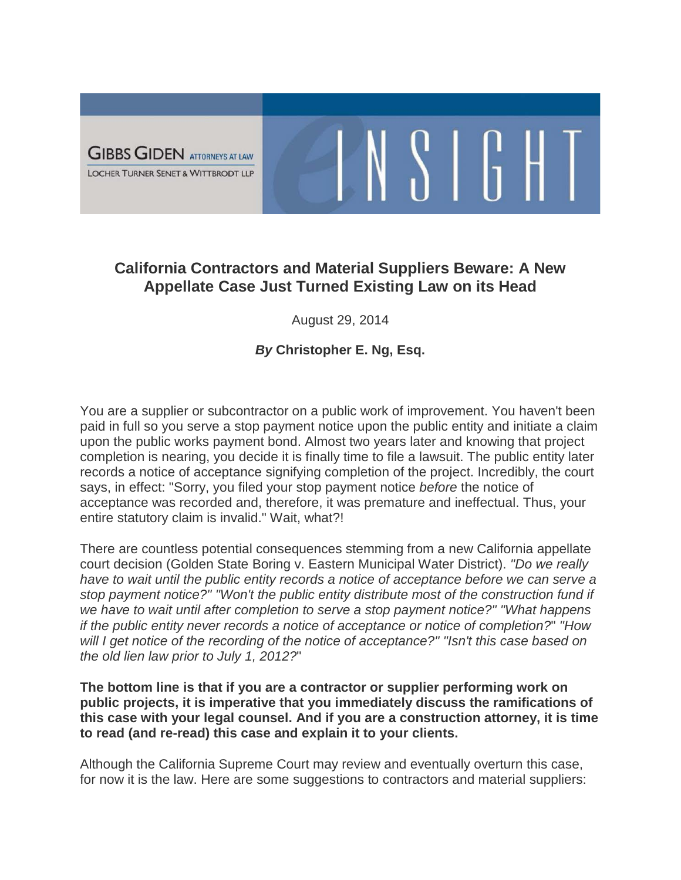

## **California Contractors and Material Suppliers Beware: A New Appellate Case Just Turned Existing Law on its Head**

 $\frac{1}{2}$   $\frac{1}{2}$   $\frac{1}{2}$   $\frac{1}{2}$   $\frac{1}{2}$ 

August 29, 2014

## *By* **Christopher E. Ng, Esq.**

You are a supplier or subcontractor on a public work of improvement. You haven't been paid in full so you serve a stop payment notice upon the public entity and initiate a claim upon the public works payment bond. Almost two years later and knowing that project completion is nearing, you decide it is finally time to file a lawsuit. The public entity later records a notice of acceptance signifying completion of the project. Incredibly, the court says, in effect: "Sorry, you filed your stop payment notice *before* the notice of acceptance was recorded and, therefore, it was premature and ineffectual. Thus, your entire statutory claim is invalid." Wait, what?!

There are countless potential consequences stemming from a new California appellate court decision (Golden State Boring v. Eastern Municipal Water District). *"Do we really have to wait until the public entity records a notice of acceptance before we can serve a stop payment notice?" "Won't the public entity distribute most of the construction fund if we have to wait until after completion to serve a stop payment notice?" "What happens if the public entity never records a notice of acceptance or notice of completion?*" *"How will I get notice of the recording of the notice of acceptance?" "Isn't this case based on the old lien law prior to July 1, 2012?*"

**The bottom line is that if you are a contractor or supplier performing work on public projects, it is imperative that you immediately discuss the ramifications of this case with your legal counsel. And if you are a construction attorney, it is time to read (and re-read) this case and explain it to your clients.**

Although the California Supreme Court may review and eventually overturn this case, for now it is the law. Here are some suggestions to contractors and material suppliers: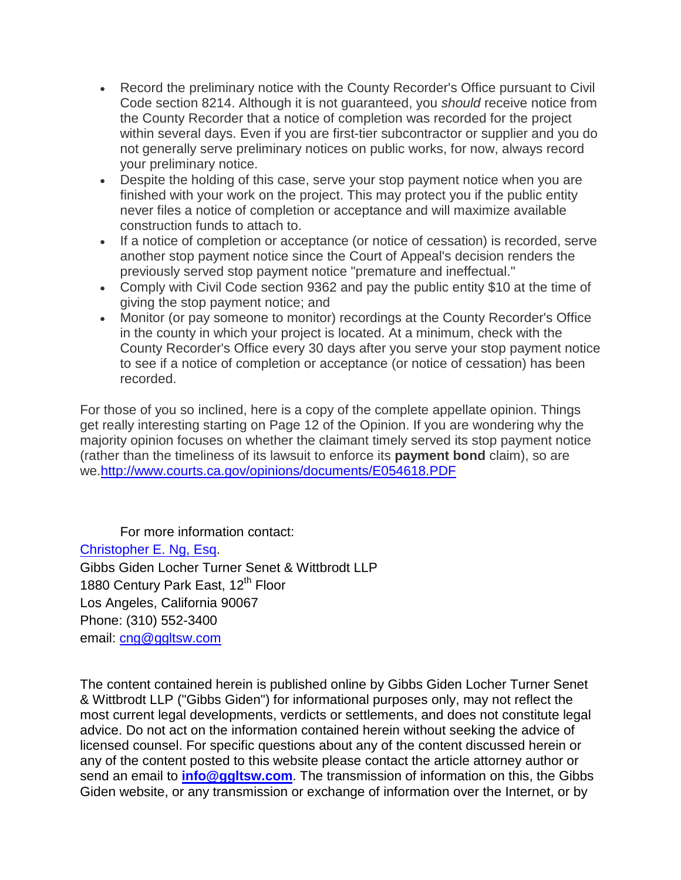- Record the preliminary notice with the County Recorder's Office pursuant to Civil Code section 8214. Although it is not guaranteed, you *should* receive notice from the County Recorder that a notice of completion was recorded for the project within several days. Even if you are first-tier subcontractor or supplier and you do not generally serve preliminary notices on public works, for now, always record your preliminary notice.
- Despite the holding of this case, serve your stop payment notice when you are finished with your work on the project. This may protect you if the public entity never files a notice of completion or acceptance and will maximize available construction funds to attach to.
- If a notice of completion or acceptance (or notice of cessation) is recorded, serve another stop payment notice since the Court of Appeal's decision renders the previously served stop payment notice "premature and ineffectual."
- Comply with Civil Code section 9362 and pay the public entity \$10 at the time of giving the stop payment notice; and
- Monitor (or pay someone to monitor) recordings at the County Recorder's Office in the county in which your project is located. At a minimum, check with the County Recorder's Office every 30 days after you serve your stop payment notice to see if a notice of completion or acceptance (or notice of cessation) has been recorded.

For those of you so inclined, here is a copy of the complete appellate opinion. Things get really interesting starting on Page 12 of the Opinion. If you are wondering why the majority opinion focuses on whether the claimant timely served its stop payment notice (rather than the timeliness of its lawsuit to enforce its **payment bond** claim), so are we[.http://www.courts.ca.gov/opinions/documents/E054618.PDF](http://www.courts.ca.gov/opinions/documents/E054618.PDF)

For more information contact: [Christopher E. Ng, Esq.](http://www.ggltsw.com/attorneysii/ng-christopher-e) Gibbs Giden Locher Turner Senet & Wittbrodt LLP 1880 Century Park East, 12<sup>th</sup> Floor Los Angeles, California 90067 Phone: (310) 552-3400 email: [cng@ggltsw.com](mailto:cng@ggltsw.com)

The content contained herein is published online by Gibbs Giden Locher Turner Senet & Wittbrodt LLP ("Gibbs Giden") for informational purposes only, may not reflect the most current legal developments, verdicts or settlements, and does not constitute legal advice. Do not act on the information contained herein without seeking the advice of licensed counsel. For specific questions about any of the content discussed herein or any of the content posted to this website please contact the article attorney author or send an email to **[info@ggltsw.com](mailto:info@gglts.com)**. The transmission of information on this, the Gibbs Giden website, or any transmission or exchange of information over the Internet, or by